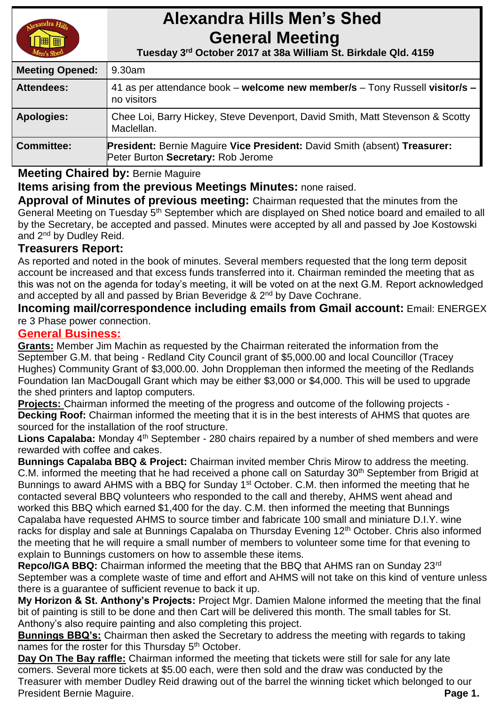

# **Alexandra Hills Men's Shed General Meeting**

 **Tuesday 3 rd October 2017 at 38a William St. Birkdale Qld. 4159** 

| <b>Meeting Opened:</b> | 9.30am                                                                                                                 |
|------------------------|------------------------------------------------------------------------------------------------------------------------|
| <b>Attendees:</b>      | 41 as per attendance book – welcome new member/s – Tony Russell visitor/s –<br>no visitors                             |
| <b>Apologies:</b>      | Chee Loi, Barry Hickey, Steve Devenport, David Smith, Matt Stevenson & Scotty<br>Maclellan.                            |
| <b>Committee:</b>      | <b>President: Bernie Maguire Vice President: David Smith (absent) Treasurer:</b><br>Peter Burton Secretary: Rob Jerome |

# **Meeting Chaired by:** Bernie Maguire

**Items arising from the previous Meetings Minutes:** none raised.

**Approval of Minutes of previous meeting:** Chairman requested that the minutes from the General Meeting on Tuesday 5<sup>th</sup> September which are displayed on Shed notice board and emailed to all by the Secretary, be accepted and passed. Minutes were accepted by all and passed by Joe Kostowski and 2<sup>nd</sup> by Dudley Reid.

# **Treasurers Report:**

As reported and noted in the book of minutes. Several members requested that the long term deposit account be increased and that excess funds transferred into it. Chairman reminded the meeting that as this was not on the agenda for today's meeting, it will be voted on at the next G.M. Report acknowledged and accepted by all and passed by Brian Beveridge & 2<sup>nd</sup> by Dave Cochrane.

**Incoming mail/correspondence including emails from Gmail account:** Email: ENERGEX re 3 Phase power connection.

# **General Business:**

**Grants:** Member Jim Machin as requested by the Chairman reiterated the information from the September G.M. that being - Redland City Council grant of \$5,000.00 and local Councillor (Tracey Hughes) Community Grant of \$3,000.00. John Droppleman then informed the meeting of the Redlands Foundation Ian MacDougall Grant which may be either \$3,000 or \$4,000. This will be used to upgrade the shed printers and laptop computers.

**Projects:** Chairman informed the meeting of the progress and outcome of the following projects - **Decking Roof:** Chairman informed the meeting that it is in the best interests of AHMS that quotes are sourced for the installation of the roof structure.

Lions Capalaba: Monday 4<sup>th</sup> September - 280 chairs repaired by a number of shed members and were rewarded with coffee and cakes.

**Bunnings Capalaba BBQ & Project:** Chairman invited member Chris Mirow to address the meeting. C.M. informed the meeting that he had received a phone call on Saturday 30<sup>th</sup> September from Brigid at Bunnings to award AHMS with a BBQ for Sunday 1<sup>st</sup> October. C.M. then informed the meeting that he contacted several BBQ volunteers who responded to the call and thereby, AHMS went ahead and worked this BBQ which earned \$1,400 for the day. C.M. then informed the meeting that Bunnings Capalaba have requested AHMS to source timber and fabricate 100 small and miniature D.I.Y. wine racks for display and sale at Bunnings Capalaba on Thursday Evening 12<sup>th</sup> October. Chris also informed the meeting that he will require a small number of members to volunteer some time for that evening to explain to Bunnings customers on how to assemble these items.

**Repco/IGA BBQ:** Chairman informed the meeting that the BBQ that AHMS ran on Sunday 23rd September was a complete waste of time and effort and AHMS will not take on this kind of venture unless there is a guarantee of sufficient revenue to back it up.

**My Horizon & St. Anthony's Projects:** Project Mgr. Damien Malone informed the meeting that the final bit of painting is still to be done and then Cart will be delivered this month. The small tables for St. Anthony's also require painting and also completing this project.

**Bunnings BBQ's:** Chairman then asked the Secretary to address the meeting with regards to taking names for the roster for this Thursday 5<sup>th</sup> October.

**Day On The Bay raffle:** Chairman informed the meeting that tickets were still for sale for any late comers. Several more tickets at \$5.00 each, were then sold and the draw was conducted by the Treasurer with member Dudley Reid drawing out of the barrel the winning ticket which belonged to our President Bernie Maguire. **Page 1. Page 1. Page 1. Page 1. Page 1. Page 1. Page 1. Page 1. Page 1. Page 1. Page 1. Page 1. Page 1. Page 1. Page 1. Page 1. Page 1. Page 1. Page 1. Page**